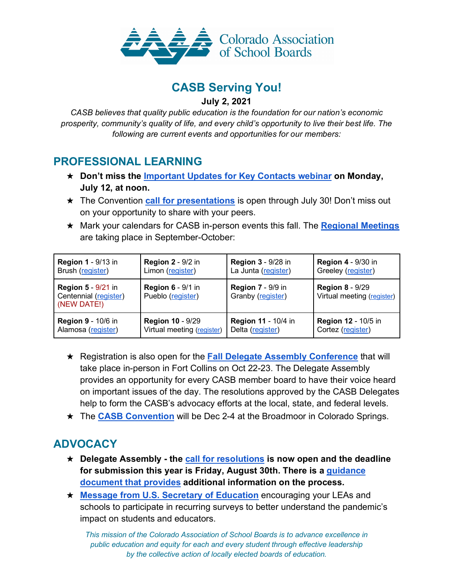

## **CASB Serving You!**

#### **July 2, 2021**

*CASB believes that quality public education is the foundation for our nation's economic prosperity, community's quality of life, and every child's opportunity to live their best life. The following are current events and opportunities for our members:*

#### **PROFESSIONAL LEARNING**

- ★ **Don't miss the Important Updates for Key Contacts webinar on Monday, July 12, at noon.**
- ★ The Convention **call for presentations** is open through July 30! Don't miss out on your opportunity to share with your peers.
- ★ Mark your calendars for CASB in-person events this fall. The **Regional Meetings** are taking place in September-October:

| <b>Region 1 - 9/13 in</b>                                         | <b>Region 2 - 9/2 in</b>                      | <b>Region 3 - 9/28 in</b>                     | <b>Region 4 - 9/30 in</b>                            |
|-------------------------------------------------------------------|-----------------------------------------------|-----------------------------------------------|------------------------------------------------------|
| Brush (register)                                                  | Limon (register)                              | La Junta (register)                           | Greeley (register)                                   |
| <b>Region 5 - 9/21 in</b><br>Centennial (register)<br>(NEW DATE!) | <b>Region 6 - 9/1 in</b><br>Pueblo (register) | <b>Region 7 - 9/9 in</b><br>Granby (register) | <b>Region 8 - 9/29</b><br>Virtual meeting (register) |
| <b>Region 9 - 10/6 in</b>                                         | <b>Region 10 - 9/29</b>                       | <b>Region 11 - 10/4 in</b>                    | <b>Region 12 - 10/5 in</b>                           |
| Alamosa (register)                                                | Virtual meeting (register)                    | Delta (register)                              | Cortez (register)                                    |

- ★ Registration is also open for the **Fall Delegate Assembly Conference** that will take place in-person in Fort Collins on Oct 22-23. The Delegate Assembly provides an opportunity for every CASB member board to have their voice heard on important issues of the day. The resolutions approved by the CASB Delegates help to form the CASB's advocacy efforts at the local, state, and federal levels.
- ★ The **CASB Convention** will be Dec 2-4 at the Broadmoor in Colorado Springs.

# **ADVOCACY**

- ★ **Delegate Assembly - the call for resolutions is now open and the deadline for submission this year is Friday, August 30th. There is a guidance document that provides additional information on the process.**
- ★ **Message from U.S. Secretary of Education** encouraging your LEAs and schools to participate in recurring surveys to better understand the pandemic's impact on students and educators.

*This mission of the Colorado Association of School Boards is to advance excellence in public education and equity for each and every student through effective leadership by the collective action of locally elected boards of education.*